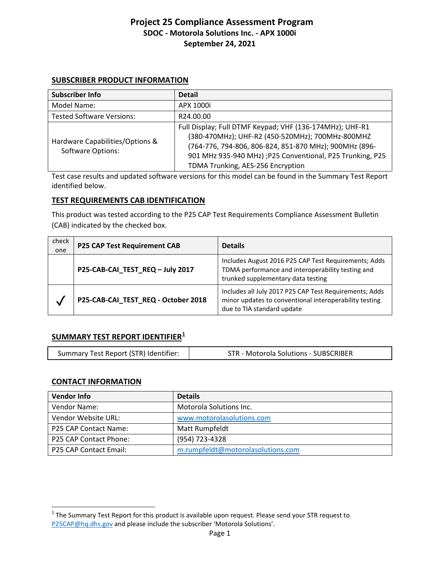#### **SUBSCRIBER PRODUCT INFORMATION**

| Subscriber Info                                             | <b>Detail</b>                                                                                                                                                                                                                                                             |
|-------------------------------------------------------------|---------------------------------------------------------------------------------------------------------------------------------------------------------------------------------------------------------------------------------------------------------------------------|
| Model Name:                                                 | APX 1000i                                                                                                                                                                                                                                                                 |
| <b>Tested Software Versions:</b>                            | R24.00.00                                                                                                                                                                                                                                                                 |
| Hardware Capabilities/Options &<br><b>Software Options:</b> | Full Display; Full DTMF Keypad; VHF (136-174MHz); UHF-R1<br>(380-470MHz); UHF-R2 (450-520MHz); 700MHz-800MHZ<br>(764-776, 794-806, 806-824, 851-870 MHz); 900MHz (896-<br>901 MHz 935-940 MHz) ; P25 Conventional, P25 Trunking, P25<br>TDMA Trunking, AES-256 Encryption |

Test case results and updated software versions for this model can be found in the Summary Test Report identified below.

## **TEST REQUIREMENTS CAB IDENTIFICATION**

This product was tested according to the P25 CAP Test Requirements Compliance Assessment Bulletin (CAB) indicated by the checked box.

| check<br>one | <b>P25 CAP Test Requirement CAB</b> | <b>Details</b>                                                                                                                                  |
|--------------|-------------------------------------|-------------------------------------------------------------------------------------------------------------------------------------------------|
|              | P25-CAB-CAI_TEST_REQ-July 2017      | Includes August 2016 P25 CAP Test Requirements; Adds<br>TDMA performance and interoperability testing and<br>trunked supplementary data testing |
| V            | P25-CAB-CAI_TEST_REQ - October 2018 | Includes all July 2017 P25 CAP Test Requirements; Adds<br>minor updates to conventional interoperability testing<br>due to TIA standard update  |

## **SUMMARY TEST REPORT IDENTIFIER[1](#page-0-0)**

| Summary Test Report (STR) Identifier:<br>STR - Motorola Solutions - SUBSCRIBER |
|--------------------------------------------------------------------------------|
|--------------------------------------------------------------------------------|

## **CONTACT INFORMATION**

| <b>Vendor Info</b>           | <b>Details</b>                    |
|------------------------------|-----------------------------------|
| Vendor Name:                 | Motorola Solutions Inc.           |
| Vendor Website URL:          | www.motorolasolutions.com         |
| <b>P25 CAP Contact Name:</b> | Matt Rumpfeldt                    |
| P25 CAP Contact Phone:       | (954) 723-4328                    |
| P25 CAP Contact Email:       | m.rumpfeldt@motorolasolutions.com |

<span id="page-0-0"></span> $1$  The Summary Test Report for this product is available upon request. Please send your STR request to [P25CAP@hq.dhs.gov](mailto:P25CAP@hq.dhs.gov) and please include the subscriber 'Motorola Solutions'.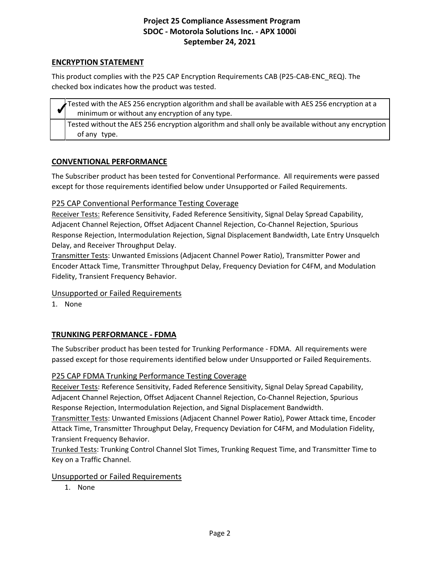## **ENCRYPTION STATEMENT**

This product complies with the P25 CAP Encryption Requirements CAB (P25-CAB-ENC\_REQ). The checked box indicates how the product was tested.

Tested with the AES 256 encryption algorithm and shall be available with AES 256 encryption at a minimum or without any encryption of any type. Tested without the AES 256 encryption algorithm and shall only be available without any encryption of any type.

## **CONVENTIONAL PERFORMANCE**

The Subscriber product has been tested for Conventional Performance. All requirements were passed except for those requirements identified below under Unsupported or Failed Requirements.

## P25 CAP Conventional Performance Testing Coverage

Receiver Tests: Reference Sensitivity, Faded Reference Sensitivity, Signal Delay Spread Capability, Adjacent Channel Rejection, Offset Adjacent Channel Rejection, Co-Channel Rejection, Spurious Response Rejection, Intermodulation Rejection, Signal Displacement Bandwidth, Late Entry Unsquelch Delay, and Receiver Throughput Delay.

Transmitter Tests: Unwanted Emissions (Adjacent Channel Power Ratio), Transmitter Power and Encoder Attack Time, Transmitter Throughput Delay, Frequency Deviation for C4FM, and Modulation Fidelity, Transient Frequency Behavior.

## Unsupported or Failed Requirements

1. None

## **TRUNKING PERFORMANCE - FDMA**

The Subscriber product has been tested for Trunking Performance - FDMA. All requirements were passed except for those requirements identified below under Unsupported or Failed Requirements.

## P25 CAP FDMA Trunking Performance Testing Coverage

Receiver Tests: Reference Sensitivity, Faded Reference Sensitivity, Signal Delay Spread Capability, Adjacent Channel Rejection, Offset Adjacent Channel Rejection, Co-Channel Rejection, Spurious Response Rejection, Intermodulation Rejection, and Signal Displacement Bandwidth.

Transmitter Tests: Unwanted Emissions (Adjacent Channel Power Ratio), Power Attack time, Encoder Attack Time, Transmitter Throughput Delay, Frequency Deviation for C4FM, and Modulation Fidelity, Transient Frequency Behavior.

Trunked Tests: Trunking Control Channel Slot Times, Trunking Request Time, and Transmitter Time to Key on a Traffic Channel.

## Unsupported or Failed Requirements

1. None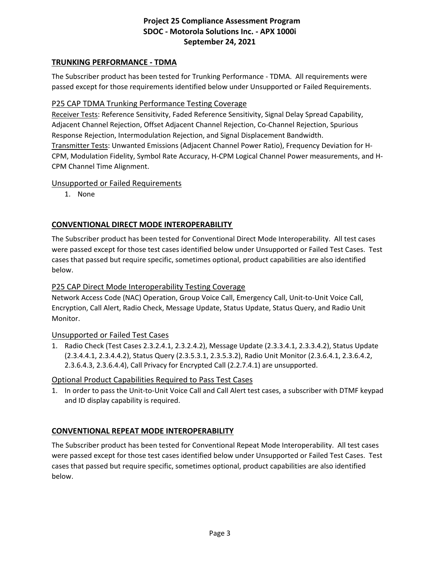## **TRUNKING PERFORMANCE - TDMA**

The Subscriber product has been tested for Trunking Performance - TDMA. All requirements were passed except for those requirements identified below under Unsupported or Failed Requirements.

## P25 CAP TDMA Trunking Performance Testing Coverage

Receiver Tests: Reference Sensitivity, Faded Reference Sensitivity, Signal Delay Spread Capability, Adjacent Channel Rejection, Offset Adjacent Channel Rejection, Co-Channel Rejection, Spurious Response Rejection, Intermodulation Rejection, and Signal Displacement Bandwidth. Transmitter Tests: Unwanted Emissions (Adjacent Channel Power Ratio), Frequency Deviation for H-CPM, Modulation Fidelity, Symbol Rate Accuracy, H-CPM Logical Channel Power measurements, and H-CPM Channel Time Alignment.

## Unsupported or Failed Requirements

1. None

## **CONVENTIONAL DIRECT MODE INTEROPERABILITY**

The Subscriber product has been tested for Conventional Direct Mode Interoperability. All test cases were passed except for those test cases identified below under Unsupported or Failed Test Cases. Test cases that passed but require specific, sometimes optional, product capabilities are also identified below.

## P25 CAP Direct Mode Interoperability Testing Coverage

Network Access Code (NAC) Operation, Group Voice Call, Emergency Call, Unit-to-Unit Voice Call, Encryption, Call Alert, Radio Check, Message Update, Status Update, Status Query, and Radio Unit Monitor.

## Unsupported or Failed Test Cases

1. Radio Check (Test Cases 2.3.2.4.1, 2.3.2.4.2), Message Update (2.3.3.4.1, 2.3.3.4.2), Status Update (2.3.4.4.1, 2.3.4.4.2), Status Query (2.3.5.3.1, 2.3.5.3.2), Radio Unit Monitor (2.3.6.4.1, 2.3.6.4.2, 2.3.6.4.3, 2.3.6.4.4), Call Privacy for Encrypted Call (2.2.7.4.1) are unsupported.

## Optional Product Capabilities Required to Pass Test Cases

1. In order to pass the Unit-to-Unit Voice Call and Call Alert test cases, a subscriber with DTMF keypad and ID display capability is required.

## **CONVENTIONAL REPEAT MODE INTEROPERABILITY**

The Subscriber product has been tested for Conventional Repeat Mode Interoperability. All test cases were passed except for those test cases identified below under Unsupported or Failed Test Cases. Test cases that passed but require specific, sometimes optional, product capabilities are also identified below.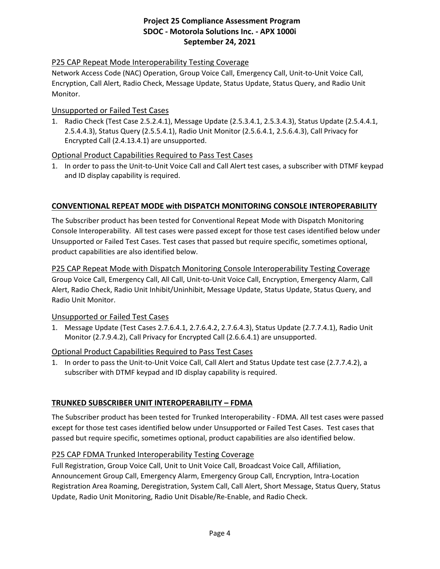## P25 CAP Repeat Mode Interoperability Testing Coverage

Network Access Code (NAC) Operation, Group Voice Call, Emergency Call, Unit-to-Unit Voice Call, Encryption, Call Alert, Radio Check, Message Update, Status Update, Status Query, and Radio Unit Monitor.

#### Unsupported or Failed Test Cases

1. Radio Check (Test Case 2.5.2.4.1), Message Update (2.5.3.4.1, 2.5.3.4.3), Status Update (2.5.4.4.1, 2.5.4.4.3), Status Query (2.5.5.4.1), Radio Unit Monitor (2.5.6.4.1, 2.5.6.4.3), Call Privacy for Encrypted Call (2.4.13.4.1) are unsupported.

## Optional Product Capabilities Required to Pass Test Cases

1. In order to pass the Unit-to-Unit Voice Call and Call Alert test cases, a subscriber with DTMF keypad and ID display capability is required.

## **CONVENTIONAL REPEAT MODE with DISPATCH MONITORING CONSOLE INTEROPERABILITY**

The Subscriber product has been tested for Conventional Repeat Mode with Dispatch Monitoring Console Interoperability. All test cases were passed except for those test cases identified below under Unsupported or Failed Test Cases. Test cases that passed but require specific, sometimes optional, product capabilities are also identified below.

## P25 CAP Repeat Mode with Dispatch Monitoring Console Interoperability Testing Coverage Group Voice Call, Emergency Call, All Call, Unit-to-Unit Voice Call, Encryption, Emergency Alarm, Call Alert, Radio Check, Radio Unit Inhibit/Uninhibit, Message Update, Status Update, Status Query, and Radio Unit Monitor.

## Unsupported or Failed Test Cases

1. Message Update (Test Cases 2.7.6.4.1, 2.7.6.4.2, 2.7.6.4.3), Status Update (2.7.7.4.1), Radio Unit Monitor (2.7.9.4.2), Call Privacy for Encrypted Call (2.6.6.4.1) are unsupported.

## Optional Product Capabilities Required to Pass Test Cases

1. In order to pass the Unit-to-Unit Voice Call, Call Alert and Status Update test case (2.7.7.4.2), a subscriber with DTMF keypad and ID display capability is required.

## **TRUNKED SUBSCRIBER UNIT INTEROPERABILITY – FDMA**

The Subscriber product has been tested for Trunked Interoperability - FDMA. All test cases were passed except for those test cases identified below under Unsupported or Failed Test Cases. Test cases that passed but require specific, sometimes optional, product capabilities are also identified below.

## P25 CAP FDMA Trunked Interoperability Testing Coverage

Full Registration, Group Voice Call, Unit to Unit Voice Call, Broadcast Voice Call, Affiliation, Announcement Group Call, Emergency Alarm, Emergency Group Call, Encryption, Intra-Location Registration Area Roaming, Deregistration, System Call, Call Alert, Short Message, Status Query, Status Update, Radio Unit Monitoring, Radio Unit Disable/Re-Enable, and Radio Check.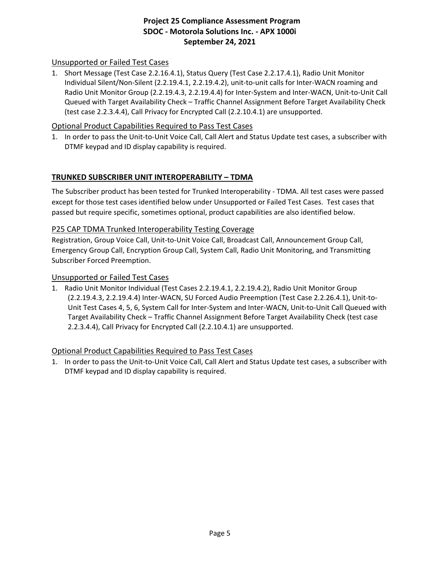## Unsupported or Failed Test Cases

1. Short Message (Test Case 2.2.16.4.1), Status Query (Test Case 2.2.17.4.1), Radio Unit Monitor Individual Silent/Non-Silent (2.2.19.4.1, 2.2.19.4.2), unit-to-unit calls for Inter-WACN roaming and Radio Unit Monitor Group (2.2.19.4.3, 2.2.19.4.4) for Inter-System and Inter-WACN, Unit-to-Unit Call Queued with Target Availability Check – Traffic Channel Assignment Before Target Availability Check (test case 2.2.3.4.4), Call Privacy for Encrypted Call (2.2.10.4.1) are unsupported.

## Optional Product Capabilities Required to Pass Test Cases

1. In order to pass the Unit-to-Unit Voice Call, Call Alert and Status Update test cases, a subscriber with DTMF keypad and ID display capability is required.

## **TRUNKED SUBSCRIBER UNIT INTEROPERABILITY – TDMA**

The Subscriber product has been tested for Trunked Interoperability - TDMA. All test cases were passed except for those test cases identified below under Unsupported or Failed Test Cases. Test cases that passed but require specific, sometimes optional, product capabilities are also identified below.

#### P25 CAP TDMA Trunked Interoperability Testing Coverage

Registration, Group Voice Call, Unit-to-Unit Voice Call, Broadcast Call, Announcement Group Call, Emergency Group Call, Encryption Group Call, System Call, Radio Unit Monitoring, and Transmitting Subscriber Forced Preemption.

#### Unsupported or Failed Test Cases

1. Radio Unit Monitor Individual (Test Cases 2.2.19.4.1, 2.2.19.4.2), Radio Unit Monitor Group (2.2.19.4.3, 2.2.19.4.4) Inter-WACN, SU Forced Audio Preemption (Test Case 2.2.26.4.1), Unit-to-Unit Test Cases 4, 5, 6, System Call for Inter-System and Inter-WACN, Unit-to-Unit Call Queued with Target Availability Check – Traffic Channel Assignment Before Target Availability Check (test case 2.2.3.4.4), Call Privacy for Encrypted Call (2.2.10.4.1) are unsupported.

#### Optional Product Capabilities Required to Pass Test Cases

1. In order to pass the Unit-to-Unit Voice Call, Call Alert and Status Update test cases, a subscriber with DTMF keypad and ID display capability is required.